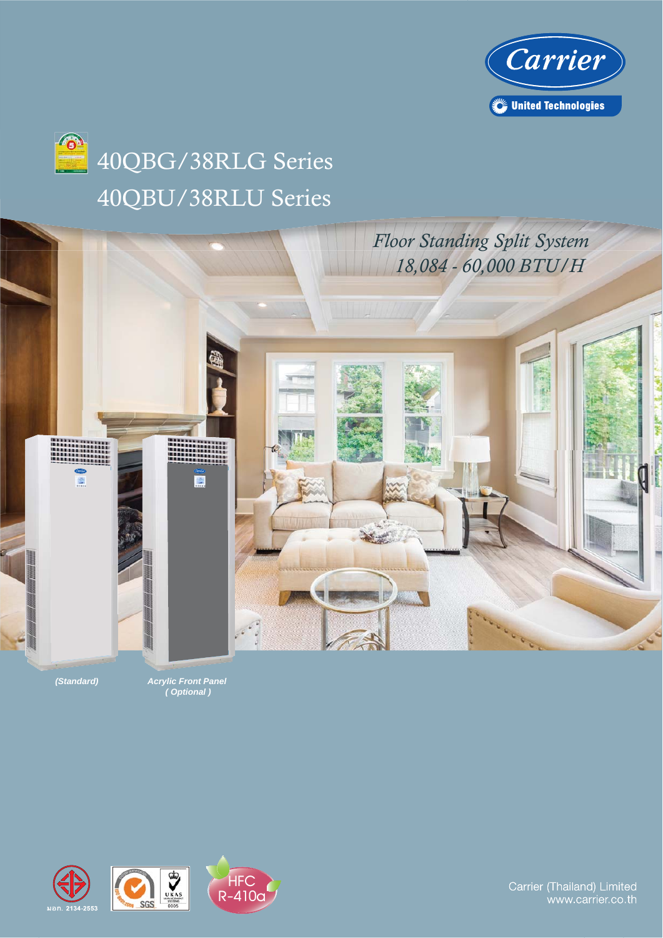



## 40QBU/38RLU Series 40QBG/38RLG Series



*(Standard) Acrylic Front Panel ( Optional )*







Carrier (Thailand) Limited www.carrier.co.th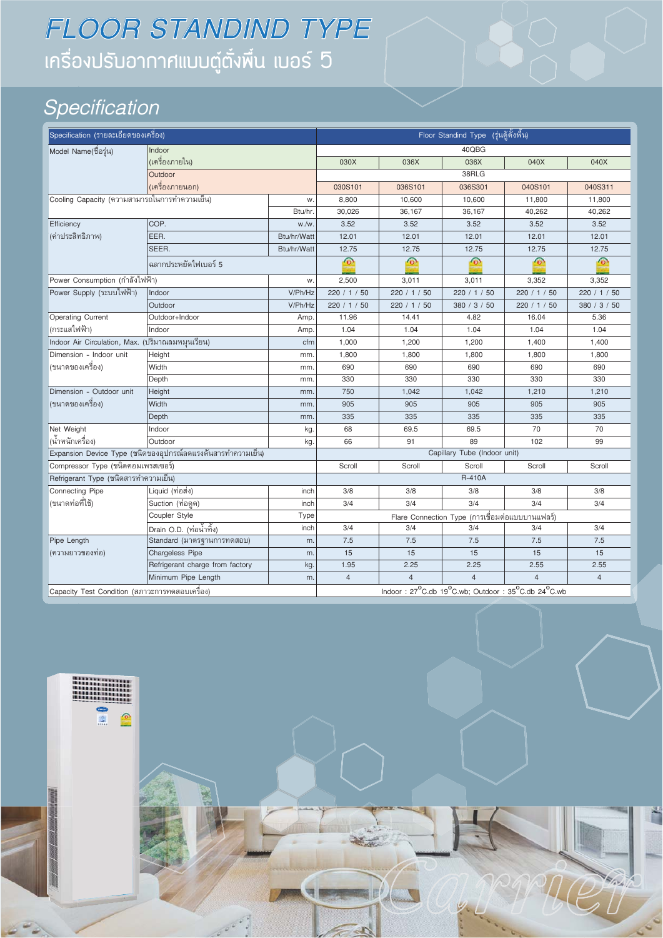## ้ เครื่องปรับอากาศแบบตู๋ตั๋งพื้น เบอร์ 5 *FLOOR STANDIND TYPE*

### *Specification*

| Specification (รายละเอียดของเครื่อง)             |                                                             |             |                |                                                   | Floor Standind Type (รุ่นตู้ตั้งพื้น)           |                  |                |
|--------------------------------------------------|-------------------------------------------------------------|-------------|----------------|---------------------------------------------------|-------------------------------------------------|------------------|----------------|
| Model Name(ชื่อรุ่น)                             | Indoor                                                      |             |                |                                                   | 40QBG                                           |                  |                |
|                                                  | (เครื่องภายใน)                                              |             | 030X           | 036X                                              | 036X                                            | 040X             | 040X           |
|                                                  | Outdoor                                                     |             |                |                                                   | 38RLG                                           |                  |                |
|                                                  | (เครื่องภายนอก)                                             |             | 030S101        | 036S101                                           | 036S301                                         | 040S101          | 040S311        |
| Cooling Capacity (ความสามารถในการทำความเย็น)     |                                                             | W.          | 8,800          | 10,600                                            | 10,600                                          | 11,800           | 11,800         |
|                                                  |                                                             | Btu/hr.     | 30,026         | 36,167                                            | 36,167                                          | 40,262           | 40,262         |
| Efficiency                                       | COP.                                                        | W./W        | 3.52           | 3.52                                              | 3.52                                            | 3.52             | 3.52           |
| (ค่าประสิทธิภาพ)                                 | EER.                                                        | Btu/hr/Watt | 12.01          | 12.01                                             | 12.01                                           | 12.01            | 12.01          |
|                                                  | SEER.                                                       | Btu/hr/Watt | 12.75          | 12.75                                             | 12.75                                           | 12.75            | 12.75          |
|                                                  | ฉลากประหยัดไฟเบอร์ 5                                        |             | $\odot$        | $\odot$                                           | $\odot$                                         | $\odot$          | $\odot$        |
| Power Consumption (กำลังไฟฟ้า)                   |                                                             | W.          | 2,500          | 3,011                                             | 3,011                                           | 3,352            | 3,352          |
| Power Supply (ระบบไฟฟ้า)                         | Indoor                                                      | V/Ph/Hz     | 220 / 1 / 50   | 220 / 1 / 50                                      | 220 / 1 / 50                                    | 220 / 1 / 50     | 220 / 1 / 50   |
|                                                  | Outdoor                                                     | V/Ph/Hz     | 220 / 1 / 50   | 220 / 1 / 50                                      | 380 / 3 / 50                                    | 220 / 1 / 50     | 380 / 3 / 50   |
| Operating Current                                | Outdoor+Indoor                                              | Amp.        | 11.96          | 14.41                                             | 4.82                                            | 16.04            | 5.36           |
| (กระแสไฟฟ้า)                                     | Indoor                                                      | Amp.        | 1.04           | 1.04                                              | 1.04                                            | 1.04             | 1.04           |
| Indoor Air Circulation, Max. (ปริมาณลมหมุนเวียน) |                                                             | cfm         | 1,000          | 1,200                                             | 1,200                                           | 1,400            | 1,400          |
| Dimension - Indoor unit                          | Height                                                      | mm.         | 1,800          | 1,800                                             | 1,800                                           | 1,800            | 1,800          |
| (ขนาดของเครื่อง)                                 | Width                                                       | mm.         | 690            | 690                                               | 690                                             | 690              | 690            |
|                                                  | Depth                                                       | mm          | 330            | 330                                               | 330                                             | 330              | 330            |
| Dimension - Outdoor unit                         | Height                                                      | mm          | 750            | 1,042                                             | 1,042                                           | 1,210            | 1,210          |
| (ขนาดของเครื่อง)                                 | Width                                                       | mm          | 905            | 905                                               | 905                                             | 905              | 905            |
|                                                  | Depth                                                       | mm          | 335            | 335                                               | 335                                             | 335              | 335            |
| Net Weight                                       | Indoor                                                      | kg.         | 68             | 69.5                                              | 69.5                                            | 70               | 70             |
| (น้ำหนักเครื่อง)                                 | Outdoor                                                     | kg.         | 66             | 91                                                | 89                                              | 102              | 99             |
|                                                  | Expansion Device Type (ชนิดของอุปกรณ์ลดแรงดันสารทำความเย็น) |             |                |                                                   | Capillary Tube (Indoor unit)                    |                  |                |
| Compressor Type (ชนิดคอมเพรสเซอร์)               |                                                             |             | Scroll         | Scroll                                            | Scroll                                          | Scroll           | Scroll         |
| Refrigerant Type (ชนิดสารทำความเย็น)             |                                                             |             |                |                                                   | <b>R-410A</b>                                   |                  |                |
| Connecting Pipe                                  | Liquid (ท่อส่ง)                                             | inch        | 3/8            | 3/8                                               | 3/8                                             | 3/8              | 3/8            |
| (ขนาดท่อที่ใช้)                                  | Suction (ท่อดูด)                                            | inch        | 3/4            | $\overline{3/4}$                                  | $\overline{3/4}$                                | $\overline{3/4}$ | 3/4            |
|                                                  | Coupler Style                                               | Type        |                |                                                   | Flare Connection Type (การเชื่อมต่อแบบบานแฟลร์) |                  |                |
|                                                  | <u>Drain</u> O.D. (ท่อน้ำทิ้ง)                              | inch        | 3/4            | 3/4                                               | 3/4                                             | 3/4              | 3/4            |
| Pipe Length                                      | Standard (มาตรฐานการทดสอบ)                                  | m.          | 7.5            | 7.5                                               | 7.5                                             | 7.5              | 7.5            |
| (ความยาวของท่อ)                                  | Chargeless Pipe                                             | m.          | 15             | 15                                                | 15                                              | 15               | 15             |
|                                                  | Refrigerant charge from factory                             | kg.         | 1.95           | 2.25                                              | 2.25                                            | 2.55             | 2.55           |
|                                                  | Minimum Pipe Length                                         | m.          | $\overline{4}$ | $\overline{4}$                                    | $\overline{\mathbf{A}}$                         | $\overline{4}$   | $\overline{4}$ |
| Capacity Test Condition (สภาวะการทดสอบเครื่อง)   |                                                             |             |                | Indoor: 27°C.db 19°C.wb; Outdoor: 35°C.db 24°C.wb |                                                 |                  |                |

 $D^2$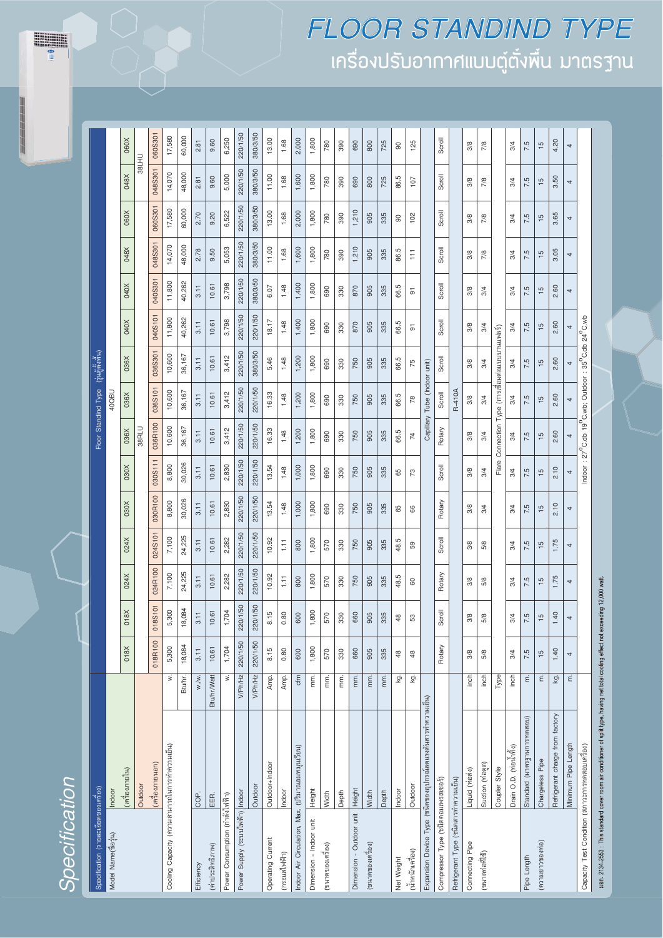**WARRENT** 

| Specification (รายละเอียดของเครื่อง)            |                                                                                                                                     |                    |               |                        |               |               |                |               |                                                                                            | Floor Standind Type (รุ่นตู้ตั้งพื้น) |               |                |                |                |               |               |               |
|-------------------------------------------------|-------------------------------------------------------------------------------------------------------------------------------------|--------------------|---------------|------------------------|---------------|---------------|----------------|---------------|--------------------------------------------------------------------------------------------|---------------------------------------|---------------|----------------|----------------|----------------|---------------|---------------|---------------|
| Model Name(ชื่อรุ่น)                            | Indoor                                                                                                                              |                    |               |                        |               |               |                |               |                                                                                            | <b>40QBU</b>                          |               |                |                |                |               |               |               |
|                                                 | (เครื่องภายใน)                                                                                                                      |                    | 018X          | 018X                   | 024X          | 024X          | X080           | <b>N080</b>   | 036X                                                                                       | 036X                                  | 036X          | 040X           | 040X           | 048X           | 060X          | 048X          | 060X          |
|                                                 | Outdoor                                                                                                                             |                    |               |                        |               |               |                |               | 38RLU                                                                                      |                                       |               |                |                |                |               | 38LHU         |               |
|                                                 | (เครื่องภายนอก)                                                                                                                     |                    | 018R100       | 018S101                | 024R100       | 024S101       | 030R100        | 030S111       | 036R100                                                                                    | 036S101                               | 036S301       | 040S101        | 040S301        | 048S301        | 060S301       | 048S301       | 060S301       |
| Cooling Capacity (ความสามารถในการทำความเย็น)    |                                                                                                                                     | ż.                 | 5,300         | 5,300                  | 7,100         | 7,100         | 8,800          | 8,800         | 10,600                                                                                     | 10,600                                | 10,600        | 11,800         | 11,800         | 14,070         | 17,580        | 14,070        | 17,580        |
|                                                 |                                                                                                                                     | Btu/hr.            | 18,084        | $\mathfrak{A}$<br>18,0 | 24,225        | 24,225        | 30,026         | 30,026        | 36,167                                                                                     | 36,167                                | 36,167        | 40,262         | 40,262         | 48,000         | 60,000        | 48,000        | 60,000        |
| Efficiency                                      | COP.                                                                                                                                | W.W.               | 3.11          | 3.11                   | 3.11          | 3.11          | 3.11           | 3.11          | 3.11                                                                                       | 3.11                                  | 3.11          | 3.11           | 3.11           | 2.78           | 2.70          | 2.81          | 2.81          |
| (ค่าประสิทธิภาพ)                                | EER.                                                                                                                                | <b>Btu/hr/Watt</b> | 10.61         | 10.61                  | 10.61         | 10.61         | 10.61          | 10.61         | 10.61                                                                                      | 10.61                                 | 10.61         | 10.61          | 10.61          | 9.50           | 9.20          | 9.60          | 9.60          |
| Power Consumption (กำลังไฟฟ้า)                  |                                                                                                                                     | $\dot{\geq}$       | 1,704         | 1,704                  | 2,282         | 2,282         | 2,830          | 2,830         | 3,412                                                                                      | 3,412                                 | 3,412         | 3,798          | 3,798          | 5,053          | 6,522         | 5,000         | 6,250         |
| Jower Supply (5%J11" WWY)  Indoor               |                                                                                                                                     | V/Ph/Hz            | 220/1/50      | /50<br>220/1           | 220/1/50      | 220/1/50      | 220/1/50       | 220/1/50      | 220/1/50                                                                                   | 220/1/50                              | 220/1/50      | 220/1/50       | 220/1/50       | 220/1/50       | 220/1/50      | 220/1/50      | 220/1/50      |
|                                                 | Outdoor                                                                                                                             | V/Ph/Hz            | 220/1/50      | /50<br>220/1           | 220/1/50      | 220/1/50      | 220/1/50       | 220/1/50      | 220/1/50                                                                                   | 220/1/50                              | 380/3/50      | 220/1/50       | 380/3/50       | 380/3/50       | 380/3/50      | 380/3/50      | 380/3/50      |
| Operating Current                               | Outdoor+Indoor                                                                                                                      | Amp.               | 8.15          | 8.15                   | 10.92         | 10.92         | 13.54          | 13.54         | 16.33                                                                                      | 16.33                                 | 5.46          | 18.17          | 6.07           | 11.00          | 13.00         | 11.00         | 13.00         |
| (กระแสไฟฟ้า)                                    | Indoor                                                                                                                              | Amp.               | 0.80          | 0.80                   | E             | Ħ             | 1.48           | 1.48          | 1.48                                                                                       | 1.48                                  | 1.48          | 1.48           | 1.48           | 1.68           | 1.68          | 1.68          | 1.68          |
| ndoor Air Circulation, Max. (ปริมาณลมหมุนเวียน) |                                                                                                                                     | cfm                | 600           | 600                    | 800           | 800           | 1,000          | 1,000         | 1,200                                                                                      | 1,200                                 | 1,200         | 1,400          | 1,400          | 1,600          | 2,000         | 1,600         | 2,000         |
| Dimension - Indoor unit                         | Height                                                                                                                              | mm.                | 1,800         | 1,800                  | 1,800         | 1,800         | 1,800          | 1,800         | 1,800                                                                                      | 1,800                                 | 1,800         | 1,800          | 1,800          | 1,800          | 1,800         | 1,800         | 1,800         |
| (ขนาดของเครื่อง)                                | Width                                                                                                                               | mm.                | 570           | $\circ$<br>57          | 570           | 570           | 690            | 690           | 690                                                                                        | 690                                   | 690           | 690            | 690            | 780            | 780           | 780           | 780           |
|                                                 | Depth                                                                                                                               | ξ.                 | 330           | 330                    | 330           | 330           | 330            | 330           | 330                                                                                        | 330                                   | 330           | 330            | 330            | 390            | 390           | 390           | 390           |
| Dimension - Outdoor unit Height                 |                                                                                                                                     | mm.                | 660           | 660                    | 750           | 750           | 750            | 750           | 750                                                                                        | 750                                   | 750           | 870            | 870            | 1,210          | 1,210         | 690           | 690           |
| (ขนาดของเครื่อง)                                | Width                                                                                                                               | mm.                | 905           | 905                    | 905           | 905           | 905            | 905           | 905                                                                                        | 905                                   | 905           | 905            | 905            | 905            | 905           | 800           | 800           |
|                                                 | Depth                                                                                                                               | mm.                | 335           | 335                    | 335           | 335           | 335            | 335           | 335                                                                                        | 335                                   | 335           | 335            | 335            | 335            | 335           | 725           | 725           |
| Net Weight                                      | Indoor                                                                                                                              | ġ                  | \$            | ¥                      | 48.5          | 48.5          | 65             | 65            | 66.5                                                                                       | 66.5                                  | 66.5          | 66.5           | 66.5           | 86.5           | 8             | 86.5          | 90            |
| (น้ำหนักเครื่อง)                                | Outdoor                                                                                                                             | ġ                  | 48            | S,                     | 60            | 59            | 66             | 73            | $\overline{74}$                                                                            | 78                                    | 75            | $\overline{5}$ | 5              | Ħ              | 102           | 107           | 125           |
|                                                 | Expansion Device Type (ซนิดของอุปกรณ์ลดแรงดันสารทำความเย็น)                                                                         |                    |               |                        |               |               |                |               |                                                                                            | Capillary Tube (Indoor unit)          |               |                |                |                |               |               |               |
| Compressor Type (ซนิดคอมเพรสเซอร์)              |                                                                                                                                     |                    | Rotary        | Scroll                 | Rotary        | Scroll        | Rotary         | Scroll        | Rotary                                                                                     | Scroll                                | Scroll        | Scroll         | Scroll         | Scroll         | Scroll        | Scroll        | Scroll        |
| Refrigerant Type (ซนิดสารทำความเย็น)            |                                                                                                                                     |                    |               |                        |               |               |                |               |                                                                                            | R-410A                                |               |                |                |                |               |               |               |
| Connecting Pipe                                 | Liquid (via av)                                                                                                                     | inch               | 3/8           | 3/8                    | 3/8           | 3/8           | 3/8            | 3/8           | 3/8                                                                                        | 3/8                                   | 3/8           | 3/8            | 3/8            | 3/8            | 3/8           | 3/8           | 3/8           |
| (ขนาดท่อที่ใช้)                                 | Suction (ท่อดูด)                                                                                                                    | inch               | 5/8           | 5/8                    | 5/8           | 5/8           | 3/4            | 3/4           | 3/4                                                                                        | 3/4                                   | 3/4           | 3/4            | 3/4            | 7/8            | 7/8           | 7/8           | 7/8           |
|                                                 | Coupler Style                                                                                                                       | Type               |               |                        |               |               |                |               | Flare Connection Type (การเชื่อมต่อแบบบานแฟลร์)                                            |                                       |               |                |                |                |               |               |               |
|                                                 | Drain O.D. (ท่อน้ำทิ้ง)                                                                                                             | inch               | 3/4           | $\frac{3}{4}$          | 3/4           | 3/4           | 3/4            | 3/4           | 3/4                                                                                        | 3/4                                   | 3/4           | 3/4            | 3/4            | 3/4            | 3/4           | 3/4           | 3/4           |
| <b>Pipe Length</b>                              | Standard (มาตรฐานการทดสอบ)                                                                                                          | έ                  | 7.5           | 7.5                    | 7.5           | 7.5           | 7.5            | 7.5           | 7.5                                                                                        | 7.5                                   | 7.5           | 7.5            | 7.5            | 7.5            | 7.5           | 7.5           | 7.5           |
| (ความยาวของท่อ)                                 | Chargeless Pipe                                                                                                                     | έ                  | $\frac{5}{1}$ | ÷                      | $\frac{5}{1}$ | $\frac{5}{1}$ | $\frac{15}{2}$ | $\frac{6}{1}$ | $\frac{5}{1}$                                                                              | $\frac{5}{1}$                         | $\frac{5}{1}$ | $\frac{5}{1}$  | $\frac{15}{2}$ | $\frac{15}{2}$ | $\frac{5}{1}$ | $\frac{5}{1}$ | $\frac{5}{1}$ |
|                                                 | Refrigerant charge from factory                                                                                                     | kg.                | 1.40          | 1.40                   | 1.75          | 1.75          | 2.10           | 2.10          | 2.60                                                                                       | 2.60                                  | 2.60          | 2.60           | 2.60           | 3.05           | 3.65          | 3.50          | 4.20          |
|                                                 | Minimum Pipe Length                                                                                                                 | έ                  | 4             | 4                      | 4             | 4             | 4              | 4             | 4                                                                                          | 4                                     | 4             | 4              | 4              | 4              | 4             | 4             | 4             |
| Capacity Test Condition (สภาวะการทดสอบเครื่อง)  |                                                                                                                                     |                    |               |                        |               |               |                |               | Indoor: $27^{\circ}$ C.db 19 $^{\circ}$ C.wb; Outdoor: $35^{\circ}$ C.db $24^{\circ}$ C.wb |                                       |               |                |                |                |               |               |               |
|                                                 | wan. 2134-2553 : This standard cover room air conditioner of split type, having net total cooling effect not exceeding 12,000 watt. |                    |               |                        |               |               |                |               |                                                                                            |                                       |               |                |                |                |               |               |               |
|                                                 |                                                                                                                                     |                    |               |                        |               |               |                |               |                                                                                            |                                       |               |                |                |                |               |               |               |